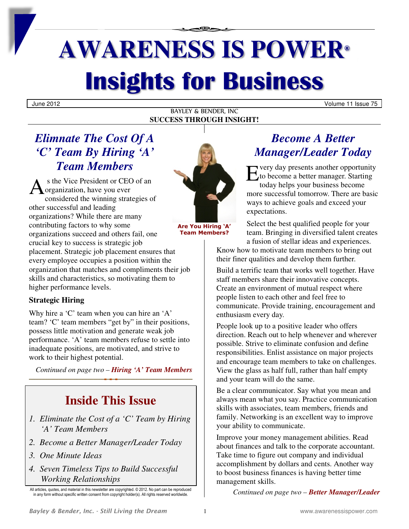# **AWARENESS IS POWER® Insights for Business**

June 2012 Volume 11 Issue 75

#### BAYLEY & BENDER, INC **SUCCESS THROUGH INSIGHT!**

## *Elimnate The Cost Of A 'C' Team By Hiring 'A' Team Members*

s the Vice President or CEO of an organization, have you ever considered the winning strategies of other successful and leading organizations? While there are many contributing factors to why some organizations succeed and others fail, one crucial key to success is strategic job placement. Strategic job placement ensures that every employee occupies a position within the organization that matches and compliments their job skills and characteristics, so motivating them to higher performance levels. A

#### **Strategic Hiring**

Why hire a 'C' team when you can hire an 'A' team? 'C' team members "get by" in their positions, possess little motivation and generate weak job performance. 'A' team members refuse to settle into inadequate positions, are motivated, and strive to work to their highest potential.

*Continued on page two – Hiring 'A' Team Members*

# **Inside This Issue**

- *1. Eliminate the Cost of a 'C' Team by Hiring 'A' Team Members*
- *2. Become a Better Manager/Leader Today*
- *3. One Minute Ideas*
- *4. Seven Timeless Tips to Build Successful Working Relationships*



**Are You Hiring 'A' Team Members?** 

## *Become A Better Manager/Leader Today*

**Example 18 Second Second Second Second Second Second Second Second Second Second Second Second Second Second Second Second Second Second Second Second Second Second Second Second Second Second Second Second Second Second** to become a better manager. Starting today helps your business become more successful tomorrow. There are basic ways to achieve goals and exceed your expectations.

Select the best qualified people for your team. Bringing in diversified talent creates a fusion of stellar ideas and experiences.

Know how to motivate team members to bring out their finer qualities and develop them further.

Build a terrific team that works well together. Have staff members share their innovative concepts. Create an environment of mutual respect where people listen to each other and feel free to communicate. Provide training, encouragement and enthusiasm every day.

People look up to a positive leader who offers direction. Reach out to help whenever and wherever possible. Strive to eliminate confusion and define responsibilities. Enlist assistance on major projects and encourage team members to take on challenges. View the glass as half full, rather than half empty and your team will do the same.

Be a clear communicator. Say what you mean and always mean what you say. Practice communication skills with associates, team members, friends and family. Networking is an excellent way to improve your ability to communicate.

Improve your money management abilities. Read about finances and talk to the corporate accountant. Take time to figure out company and individual accomplishment by dollars and cents. Another way to boost business finances is having better time management skills.

*Continued on page two – Better Manager/Leader*

All articles, quotes, and material in this newsletter are copyrighted. © 2012. No part can be reproduced in any form without specific written consent from copyright holder(s). All rights reserved worldwide.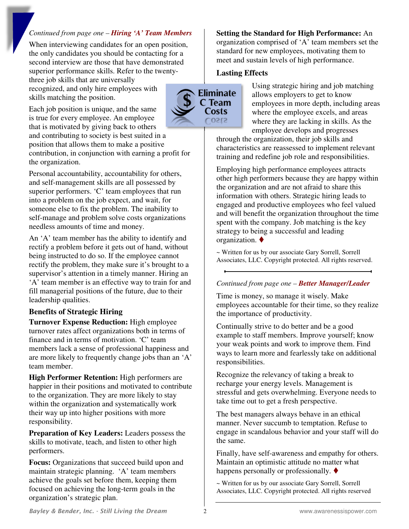#### *Continued from page one – Hiring 'A' Team Members*

When interviewing candidates for an open position, the only candidates you should be contacting for a second interview are those that have demonstrated superior performance skills. Refer to the twentythree job skills that are universally

recognized, and only hire employees with skills matching the position.

Each job position is unique, and the same is true for every employee. An employee that is motivated by giving back to others and contributing to society is best suited in a position that allows them to make a positive contribution, in conjunction with earning a profit for the organization.

Personal accountability, accountability for others, and self-management skills are all possessed by superior performers. 'C' team employees that run into a problem on the job expect, and wait, for someone else to fix the problem. The inability to self-manage and problem solve costs organizations needless amounts of time and money.

An 'A' team member has the ability to identify and rectify a problem before it gets out of hand, without being instructed to do so. If the employee cannot rectify the problem, they make sure it's brought to a supervisor's attention in a timely manner. Hiring an 'A' team member is an effective way to train for and fill managerial positions of the future, due to their leadership qualities.

#### **Benefits of Strategic Hiring**

**Turnover Expense Reduction:** High employee turnover rates affect organizations both in terms of finance and in terms of motivation. 'C' team members lack a sense of professional happiness and are more likely to frequently change jobs than an 'A' team member.

**High Performer Retention:** High performers are happier in their positions and motivated to contribute to the organization. They are more likely to stay within the organization and systematically work their way up into higher positions with more responsibility.

**Preparation of Key Leaders:** Leaders possess the skills to motivate, teach, and listen to other high performers.

**Focus:** Organizations that succeed build upon and maintain strategic planning. 'A' team members achieve the goals set before them, keeping them focused on achieving the long-term goals in the organization's strategic plan.

**Setting the Standard for High Performance:** An organization comprised of 'A' team members set the standard for new employees, motivating them to meet and sustain levels of high performance.

#### **Lasting Effects**



Using strategic hiring and job matching allows employers to get to know employees in more depth, including areas where the employee excels, and areas where they are lacking in skills. As the employee develops and progresses

through the organization, their job skills and characteristics are reassessed to implement relevant training and redefine job role and responsibilities.

Employing high performance employees attracts other high performers because they are happy within the organization and are not afraid to share this information with others. Strategic hiring leads to engaged and productive employees who feel valued and will benefit the organization throughout the time spent with the company. Job matching is the key strategy to being a successful and leading organization.

~ Written for us by our associate Gary Sorrell, Sorrell Associates, LLC. Copyright protected. All rights reserved.

#### *Continued from page one – Better Manager/Leader*

Time is money, so manage it wisely. Make employees accountable for their time, so they realize the importance of productivity.

Continually strive to do better and be a good example to staff members. Improve yourself; know your weak points and work to improve them. Find ways to learn more and fearlessly take on additional responsibilities.

Recognize the relevancy of taking a break to recharge your energy levels. Management is stressful and gets overwhelming. Everyone needs to take time out to get a fresh perspective.

The best managers always behave in an ethical manner. Never succumb to temptation. Refuse to engage in scandalous behavior and your staff will do the same.

Finally, have self-awareness and empathy for others. Maintain an optimistic attitude no matter what happens personally or professionally.  $\blacklozenge$ 

~ Written for us by our associate Gary Sorrell, Sorrell Associates, LLC. Copyright protected. All rights reserved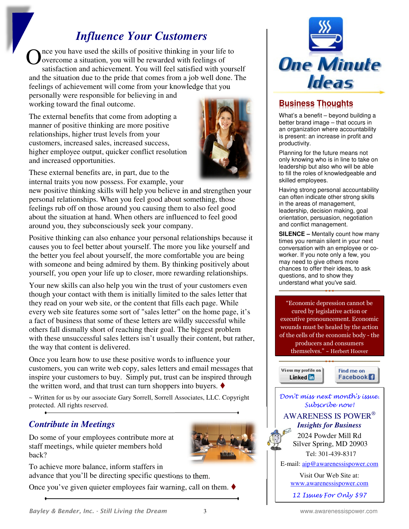## *Influence Your Customers*

nce you have used the skills of positive thinking in your life to overcome a situation, you will be rewarded with feelings of satisfaction and achievement. You will feel satisfied with yourself and the situation due to the pride that comes from a job well done. The feelings of achievement will come from your knowledge that you personally were responsible for believing in and O

working toward the final outcome.

The external benefits that come from adopting a manner of positive thinking are more positive relationships, higher trust levels from your customers, increased sales, increased success, higher employee output, quicker conflict resolution and increased opportunities.



These external benefits are, in part, due to the internal traits you now possess. For example, your

new positive thinking skills will help you believe in and strengthen your personal relationships. When you feel good about something, those feelings rub off on those around you causing them to also feel good about the situation at hand. When others are influenced to feel good around you, they subconsciously seek your company.

Positive thinking can also enhance your personal relationships because it causes you to feel better about yourself. The more you like yourself and the better you feel about yourself, the more comfortable you are being with someone and being admired by them. By thinking positively about yourself, you open your life up to closer, more rewarding relationships.

Your new skills can also help you win the trust of your customers even though your contact with them is initially limited to the sales letter that they read on your web site, or the content that fills each page. While every web site features some sort of "sales letter" on the home page, it's a fact of business that some of these letters are wildly successful while others fall dismally short of reaching their goal. The biggest problem with these unsuccessful sales letters isn't usually their content, but rather, the way that content is delivered.

Once you learn how to use these positive words to influence your customers, you can write web copy, sales letters and email messages that inspire your customers to buy. Simply put, trust can be inspired through the written word, and that trust can turn shoppers into buyers.  $\blacklozenge$ 

~ Written for us by our associate Gary Sorrell, Sorrell Associates, LLC. Copyright protected. All rights reserved.

## *Contribute in Meetings*

Do some of your employees contribute more at staff meetings, while quieter members hold back?



To achieve more balance, inform staffers in advance that you'll be directing specific questions to them.

Once you've given quieter employees fair warning, call on them.  $\blacklozenge$ 



## **Business Thoughts**

What's a benefit – beyond building a better brand image – that occurs in an organization where accountability is present: an increase in profit and productivity.

Planning for the future means not only knowing who is in line to take on leadership but also who will be able to fill the roles of knowledgeable and skilled employees.

Having strong personal accountability can often indicate other strong skills in the areas of management, leadership, decision making, goal orientation, persuasion, negotiation and conflict management.

**SILENCE –** Mentally count how many times you remain silent in your next conversation with an employee or coworker. If you note only a few, you may need to give others more chances to offer their ideas, to ask questions, and to show they understand what you've said.

"Economic depression cannot be cured by legislative action or executive pronouncement. Economic wounds must be healed by the action of the cells of the economic body - the producers and consumers

themselves." ~ Herbert Hoover

View my profile on Linked in



Don't miss next month's issue. Subscribe now! AWARENESS IS POWER®  *Insights for Business*  2024 Powder Mill Rd

 Silver Spring, MD 20903 Tel: 301-439-8317

E-mail: aip@awarenessispower.com

Visit Our Web Site at: www.awarenessispower.com

12 Issues For Only \$97